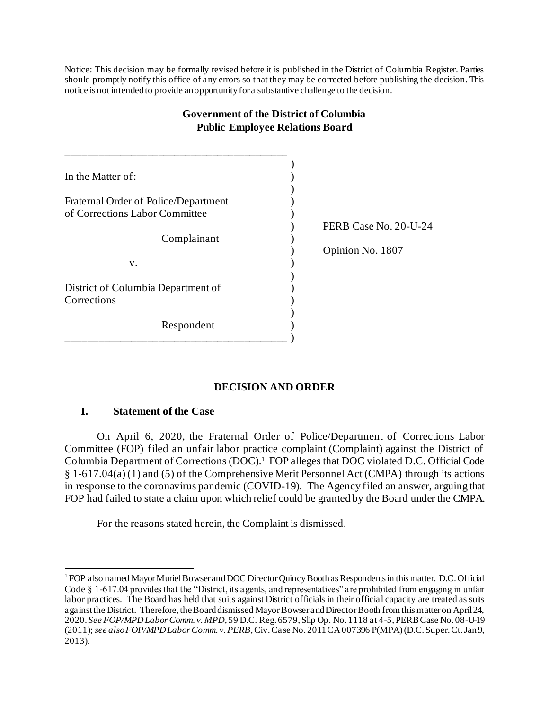Notice: This decision may be formally revised before it is published in the District of Columbia Register. Parties should promptly notify this office of any errors so that they may be corrected before publishing the decision. This notice is not intended to provide an opportunity for a substantive challenge to the decision.

| Government of the District of Columbia<br><b>Public Employee Relations Board</b> |  |                       |
|----------------------------------------------------------------------------------|--|-----------------------|
|                                                                                  |  |                       |
| In the Matter of:                                                                |  |                       |
|                                                                                  |  |                       |
| Fraternal Order of Police/Department                                             |  |                       |
| of Corrections Labor Committee                                                   |  |                       |
|                                                                                  |  | PERB Case No. 20-U-24 |
| Complainant                                                                      |  |                       |
|                                                                                  |  | Opinion No. 1807      |
| V.                                                                               |  |                       |
|                                                                                  |  |                       |
| District of Columbia Department of                                               |  |                       |
| Corrections                                                                      |  |                       |
|                                                                                  |  |                       |
| Respondent                                                                       |  |                       |
|                                                                                  |  |                       |

# **Government of the District of Columbia**

# **DECISION AND ORDER**

## **I. Statement of the Case**

On April 6, 2020, the Fraternal Order of Police/Department of Corrections Labor Committee (FOP) filed an unfair labor practice complaint (Complaint) against the District of Columbia Department of Corrections (DOC).<sup>1</sup> FOP alleges that DOC violated D.C. Official Code § 1-617.04(a) (1) and (5) of the Comprehensive Merit Personnel Act (CMPA) through its actions in response to the coronavirus pandemic (COVID-19). The Agency filed an answer, arguing that FOP had failed to state a claim upon which relief could be granted by the Board under the CMPA.

For the reasons stated herein, the Complaint is dismissed.

<sup>1</sup> FOP also named Mayor Muriel Bowser and DOC Director Quincy Booth as Respondents in this matter. D.C. Official Code  $\S$  1-617.04 provides that the "District, its agents, and representatives" are prohibited from engaging in unfair labor practices. The Board has held that suits against District officials in their official capacity are treated as suits against the District. Therefore, the Board dismissed Mayor Bowser and Director Booth from this matter on April 24, 2020. *See FOP/MPD Labor Comm. v. MPD*, 59 D.C. Reg. 6579, Slip Op. No. 1118 at 4-5, PERB Case No. 08-U-19 (2011); *see also FOP/MPD Labor Comm. v. PERB*, Civ. Case No. 2011 CA 007396 P(MPA) (D.C. Super. Ct. Jan 9, 2013).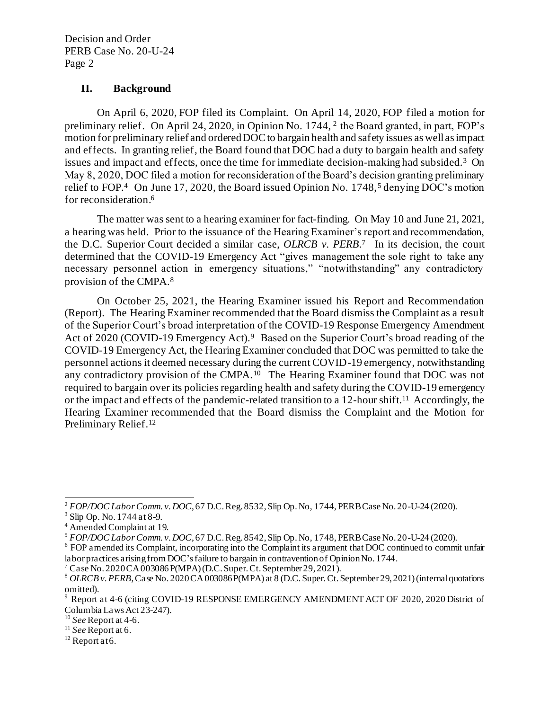#### **II. Background**

On April 6, 2020, FOP filed its Complaint. On April 14, 2020, FOP filed a motion for preliminary relief. On April 24, 2020, in Opinion No. 1744, <sup>2</sup> the Board granted, in part, FOP's motion for preliminary relief and orderedDOC to bargain health and safety issues as well as impact and effects. In granting relief, the Board found that DOC had a duty to bargain health and safety issues and impact and effects, once the time for immediate decision-making had subsided.<sup>3</sup> On May 8, 2020, DOC filed a motion for reconsideration of the Board's decision granting preliminary relief to FOP.<sup>4</sup> On June 17, 2020, the Board issued Opinion No. 1748,<sup>5</sup> denying DOC's motion for reconsideration. 6

The matter was sent to a hearing examiner for fact-finding. On May 10 and June 21, 2021, a hearing was held. Prior to the issuance of the Hearing Examiner's report and recommendation, the D.C. Superior Court decided a similar case, *OLRCB v. PERB*.<sup>7</sup> In its decision, the court determined that the COVID-19 Emergency Act "gives management the sole right to take any necessary personnel action in emergency situations," "notwithstanding" any contradictory provision of the CMPA.<sup>8</sup>

On October 25, 2021, the Hearing Examiner issued his Report and Recommendation (Report). The Hearing Examiner recommended that the Board dismiss the Complaint as a result of the Superior Court's broad interpretation of the COVID-19 Response Emergency Amendment Act of 2020 (COVID-19 Emergency Act).<sup>9</sup> Based on the Superior Court's broad reading of the COVID-19 Emergency Act, the Hearing Examiner concluded that DOC was permitted to take the personnel actions it deemed necessary during the current COVID-19 emergency, notwithstanding any contradictory provision of the CMPA.<sup>10</sup> The Hearing Examiner found that DOC was not required to bargain over its policies regarding health and safety during the COVID-19 emergency or the impact and effects of the pandemic-related transition to a 12-hour shift. <sup>11</sup> Accordingly, the Hearing Examiner recommended that the Board dismiss the Complaint and the Motion for Preliminary Relief.<sup>12</sup>

<sup>2</sup> *FOP/DOC Labor Comm. v. DOC*, 67 D.C. Reg. 8532, Slip Op. No, 1744, PERB Case No. 20-U-24 (2020).

<sup>3</sup> Slip Op. No. 1744 at 8-9.

<sup>4</sup> Amended Complaint at 19.

<sup>5</sup> *FOP/DOC Labor Comm. v. DOC*, 67 D.C. Reg. 8542, Slip Op. No, 1748, PERB Case No. 20-U-24 (2020).

<sup>6</sup> FOP amended its Complaint, incorporating into the Complaint its argument that DOC continued to commit unfair labor practices arising from DOC's failure to bargain in contravention of Opinion No. 1744.

<sup>7</sup> Case No. 2020 CA 003086 P(MPA) (D.C. Super. Ct. September 29, 2021).

<sup>&</sup>lt;sup>8</sup> *OLRCB v. PERB*, Case No. 2020 CA 003086 P(MPA) at 8 (D.C. Super. Ct. September 29, 2021) (internal quotations omitted).

<sup>&</sup>lt;sup>9</sup> Report at 4-6 (citing COVID-19 RESPONSE EMERGENCY AMENDMENT ACT OF 2020, 2020 District of Columbia Laws Act 23-247).

<sup>10</sup> *See* Report at 4-6.

<sup>11</sup> *See* Report at 6.

 $12$  Report at 6.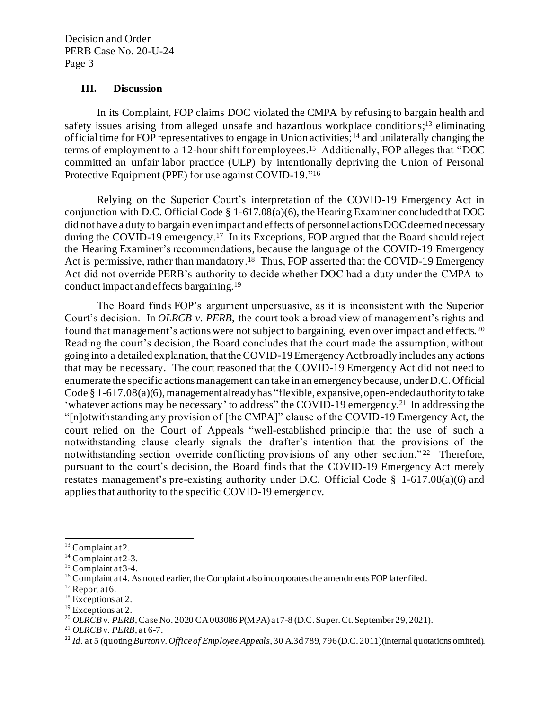Decision and Order PERB Case No. 20-U-24 Page 3

#### **III. Discussion**

In its Complaint, FOP claims DOC violated the CMPA by refusing to bargain health and safety issues arising from alleged unsafe and hazardous workplace conditions;<sup>13</sup> eliminating official time for FOP representatives to engage in Union activities;<sup>14</sup> and unilaterally changing the terms of employment to a 12-hour shift for employees. 15 Additionally, FOP alleges that "DOC committed an unfair labor practice (ULP) by intentionally depriving the Union of Personal Protective Equipment (PPE) for use against COVID-19." 16

Relying on the Superior Court's interpretation of the COVID-19 Emergency Act in conjunction with D.C. Official Code § 1-617.08(a)(6), the Hearing Examiner concluded that DOC did not have a duty to bargain even impact and effects of personnel actions DOC deemed necessary during the COVID-19 emergency.<sup>17</sup> In its Exceptions, FOP argued that the Board should reject the Hearing Examiner's recommendations, because the language of the COVID-19 Emergency Act is permissive, rather than mandatory.<sup>18</sup> Thus, FOP asserted that the COVID-19 Emergency Act did not override PERB's authority to decide whether DOC had a duty under the CMPA to conduct impact and effects bargaining.<sup>19</sup>

The Board finds FOP's argument unpersuasive, as it is inconsistent with the Superior Court's decision. In *OLRCB v. PERB*, the court took a broad view of management's rights and found that management's actions were not subject to bargaining, even over impact and effects. 20 Reading the court's decision, the Board concludes that the court made the assumption, without going into a detailed explanation, that the COVID-19 Emergency Act broadly includes any actions that may be necessary. The court reasoned that the COVID-19 Emergency Act did not need to enumerate the specific actions management can take in an emergency because, under D.C. Official Code  $\S 1-617.08(a)(6)$ , management already has "flexible, expansive, open-ended authority to take 'whatever actions may be necessary' to address" the COVID-19 emergency.<sup>21</sup> In addressing the "[n]otwithstanding any provision of [the CMPA]" clause of the COVID-19 Emergency Act, the court relied on the Court of Appeals "well-established principle that the use of such a notwithstanding clause clearly signals the drafter's intention that the provisions of the notwithstanding section override conflicting provisions of any other section."<sup>22</sup> Therefore, pursuant to the court's decision, the Board finds that the COVID-19 Emergency Act merely restates management's pre-existing authority under D.C. Official Code § 1-617.08(a)(6) and applies that authority to the specific COVID-19 emergency.

 $13$  Complaint at 2.

 $14$  Complaint at 2-3.

 $15$  Complaint at 3-4.

 $16$  Complaint at 4. As noted earlier, the Complaint also incorporates the amendments FOP later filed.

 $17$  Report at 6.

<sup>&</sup>lt;sup>18</sup> Exceptions at 2.

<sup>&</sup>lt;sup>19</sup> Exceptions at 2.

<sup>&</sup>lt;sup>20</sup> *OLRCB v. PERB*, Case No. 2020 CA 003086 P(MPA) at 7-8 (D.C. Super. Ct. September 29, 2021).

<sup>21</sup> *OLRCB v. PERB*, at 6-7.

<sup>22</sup> *Id*. at 5 (quoting*Burton v. Office of Employee Appeals*, 30 A.3d 789, 796 (D.C. 2011)(internal quotations omitted).